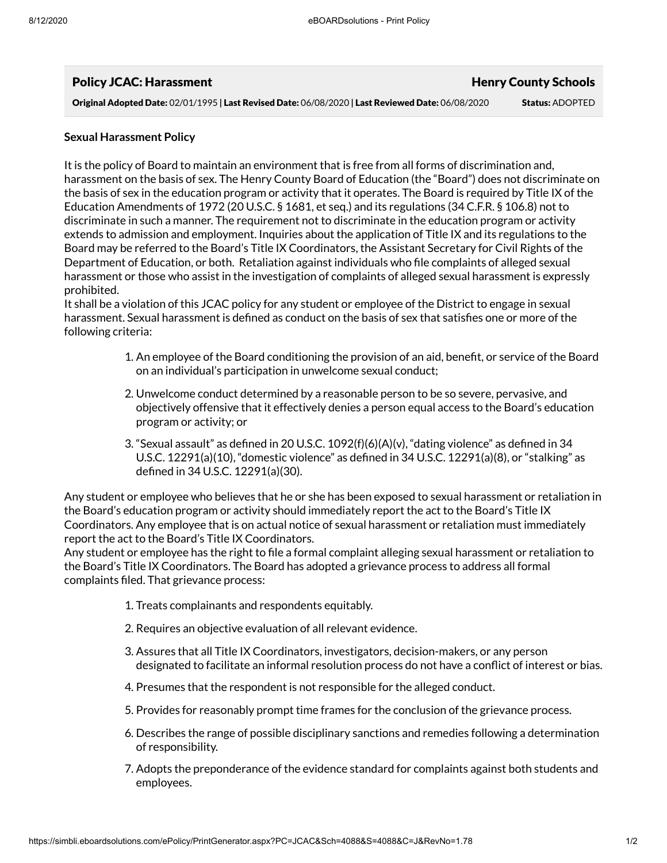| <b>Policy JCAC: Harassment</b>                                                                     | <b>Henry County Schools</b> |
|----------------------------------------------------------------------------------------------------|-----------------------------|
| Original Adopted Date: 02/01/1995   Last Revised Date: 06/08/2020   Last Reviewed Date: 06/08/2020 | <b>Status: ADOPTED</b>      |

## **Sexual Harassment Policy**

It is the policy of Board to maintain an environment that is free from all forms of discrimination and, harassment on the basis of sex. The Henry County Board of Education (the "Board") does not discriminate on the basis of sex in the education program or activity that it operates. The Board is required by Title IX of the Education Amendments of 1972 (20 U.S.C. § 1681, et seq.) and its regulations (34 C.F.R. § 106.8) not to discriminate in such a manner. The requirement not to discriminate in the education program or activity extends to admission and employment. Inquiries about the application of Title IX and its regulations to the Board may be referred to the Board's Title IX Coordinators, the Assistant Secretary for Civil Rights of the Department of Education, or both. Retaliation against individuals who file complaints of alleged sexual harassment or those who assist in the investigation of complaints of alleged sexual harassment is expressly prohibited.

It shall be a violation of this JCAC policy for any student or employee of the District to engage in sexual harassment. Sexual harassment is defined as conduct on the basis of sex that satisfies one or more of the following criteria:

- 1. An employee of the Board conditioning the provision of an aid, benefit, or service of the Board on an individual's participation in unwelcome sexual conduct;
- 2. Unwelcome conduct determined by a reasonable person to be so severe, pervasive, and objectively offensive that it effectively denies a person equal access to the Board's education program or activity; or
- 3. "Sexual assault" as defined in 20 U.S.C.  $1092(f)(6)(A)(v)$ , "dating violence" as defined in 34 U.S.C.  $12291(a)(10)$ , "domestic violence" as defined in 34 U.S.C.  $12291(a)(8)$ , or "stalking" as defined in 34 U.S.C. 12291(a)(30).

Any student or employee who believes that he or she has been exposed to sexual harassment or retaliation in the Board's education program or activity should immediately report the act to the Board's Title IX Coordinators. Any employee that is on actual notice of sexual harassment or retaliation must immediately report the act to the Board's Title IX Coordinators.

Any student or employee has the right to file a formal complaint alleging sexual harassment or retaliation to the Board's Title IX Coordinators. The Board has adopted a grievance process to address all formal complaints filed. That grievance process:

- 1. Treats complainants and respondents equitably.
- 2. Requires an objective evaluation of all relevant evidence.
- 3. Assures that all Title IX Coordinators, investigators, decision-makers, or any person designated to facilitate an informal resolution process do not have a conflict of interest or bias.
- 4. Presumes that the respondent is not responsible for the alleged conduct.
- 5. Provides for reasonably prompt time frames for the conclusion of the grievance process.
- 6. Describes the range of possible disciplinary sanctions and remedies following a determination of responsibility.
- 7. Adopts the preponderance of the evidence standard for complaints against both students and employees.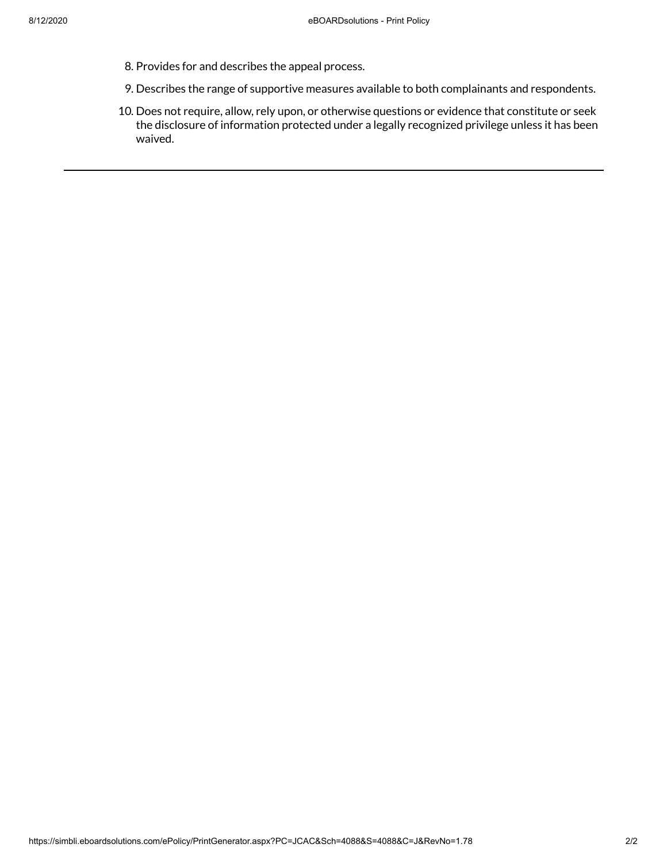- 8. Provides for and describes the appeal process.
- 9. Describes the range of supportive measures available to both complainants and respondents.
- 10. Does not require, allow, rely upon, or otherwise questions or evidence that constitute or seek the disclosure of information protected under a legally recognized privilege unless it has been waived.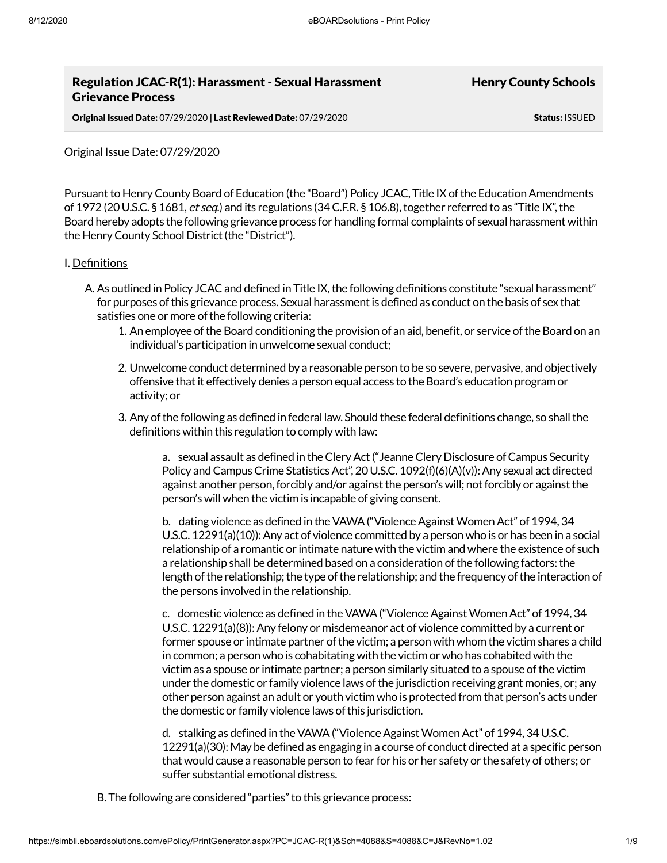# Regulation JCAC-R(1): Harassment - Sexual Harassment Grievance Process

Henry County Schools

Original Issued Date: 07/29/2020 | Last Reviewed Date: 07/29/2020 Status: ISSUED

Original Issue Date: 07/29/2020

Pursuant to Henry County Board of Education (the "Board") Policy JCAC, Title IX of the Education Amendments of 1972 (20 U.S.C. § 1681, et seq.) and its regulations (34 C.F.R. § 106.8), together referred to as "Title IX", the Board hereby adopts the following grievance process for handling formal complaints of sexual harassment within the Henry County School District (the "District").

## I. Definitions

- A. As outlined in Policy JCAC and defined in Title IX, the following definitions constitute "sexual harassment" for purposes ofthis grievance process. Sexual harassmentis defined as conduct on the basis of sex that satisfies one or more of the following criteria:
	- 1. An employee of the Board conditioning the provision of an aid, benefit, or service of the Board on an individual's participation in unwelcome sexual conduct;
	- 2. Unwelcome conduct determined by a reasonable person to be so severe, pervasive, and objectively offensive that it effectively denies a person equal access to the Board's education program or activity; or
	- 3. Any of the following as defined in federal law. Should these federal definitions change, so shall the definitions within this regulation to comply with law:

a. sexual assault as defined in theCleryAct("JeanneClery Disclosure ofCampus Security Policy and Campus Crime Statistics Act", 20 U.S.C. 1092(f)(6)(A)(v)): Any sexual act directed against another person, forcibly and/or against the person's will; not forcibly or against the person's will when the victim is incapable of giving consent.

b. dating violence as defined in the VAWA ("Violence Against Women Act" of 1994, 34 U.S.C. 12291(a)(10)): Any act of violence committed by a person who is or has been in a social relationship of a romantic or intimate nature with the victim and where the existence of such a relationship shall be determined based on a consideration of the following factors: the length of the relationship; the type of the relationship; and the frequency of the interaction of the persons involved in the relationship.

c. domestic violence as defined in theVAWA("ViolenceAgainstWomenAct" of 1994, 34 U.S.C. 12291(a)(8)):Any felony or misdemeanor act of violence committed by a current or former spouse or intimate partner of the victim; a person with whom the victim shares a child in common; a person who is cohabitating with the victim or who has cohabited with the victim as a spouse or intimate partner; a person similarly situated to a spouse ofthe victim under the domestic or family violence laws of the jurisdiction receiving grant monies, or; any other person against an adult or youth victim who is protected from that person's acts under the domestic or family violence laws of this jurisdiction.

d. stalking as defined in the VAWA ("Violence Against Women Act" of 1994, 34 U.S.C. 12291(a)(30): May be defined as engaging in a course of conduct directed at a specific person that would cause a reasonable person to fear for his or her safety or the safety of others; or suffer substantial emotional distress.

B. The following are considered "parties"to this grievance process: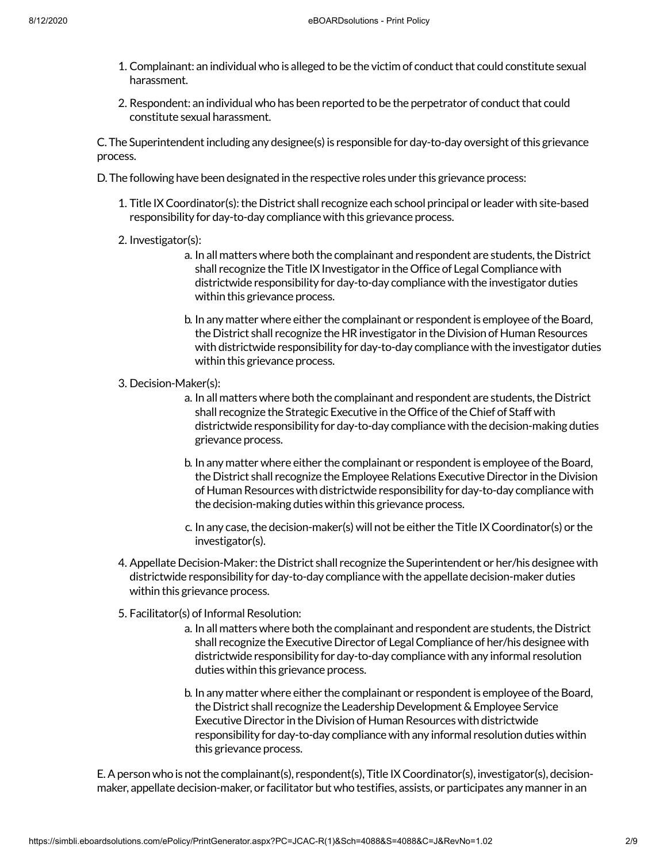- 1. Complainant: an individual who is alleged to be the victim of conduct that could constitute sexual harassment.
- 2. Respondent: an individual who has been reported to be the perpetrator of conduct that could constitute sexual harassment.

C. The Superintendent including any designee(s) is responsible for day-to-day oversight of this grievance process.

D. The following have been designated in the respective roles under this grievance process:

- 1. Title IXCoordinator(s):the District shall recognize each school principal or leader with site-based responsibility for day-to-day compliance with this grievance process.
- 2. Investigator(s):
	- a. In all matters where both the complainant and respondent are students, the District shall recognize the Title IX Investigator in the Office of Legal Compliance with districtwide responsibility for day-to-day compliance with the investigator duties within this grievance process.
	- b. In any matter where either the complainant or respondent is employee of the Board, the District shall recognize the HR investigator in the Division of Human Resources with districtwide responsibility for day-to-day compliance with the investigator duties within this grievance process.
- 3. Decision-Maker(s):
	- a. In all matters where both the complainant and respondent are students, the District shall recognize the Strategic Executive in the Office of the Chief of Staff with districtwide responsibility for day-to-day compliance with the decision-making duties grievance process.
	- b. In any matter where either the complainant or respondent is employee of the Board, the District shall recognize the Employee Relations Executive Director in the Division of Human Resources with districtwide responsibility for day-to-day compliance with the decision-making duties within this grievance process.
	- c. In any case, the decision-maker(s) will not be either the Title IX Coordinator(s) or the investigator(s).
- 4. Appellate Decision-Maker: the District shall recognize the Superintendent or her/his designee with districtwide responsibility for day-to-day compliance with the appellate decision-maker duties within this grievance process.
- 5. Facilitator(s) of Informal Resolution:
	- a. In all matters where both the complainant and respondent are students, the District shall recognize the Executive Director of LegalCompliance of her/his designee with districtwide responsibility for day-to-day compliance with any informal resolution duties within this grievance process.
	- b. In any matter where either the complainant or respondent is employee of the Board, the District shall recognize the Leadership Development & Employee Service Executive Director in the Division of Human Resources with districtwide responsibility for day-to-day compliance with any informal resolution duties within this grievance process.

E. A person who is not the complainant(s), respondent(s), Title IX Coordinator(s), investigator(s), decisionmaker, appellate decision-maker, or facilitator but who testifies, assists, or participates any manner in an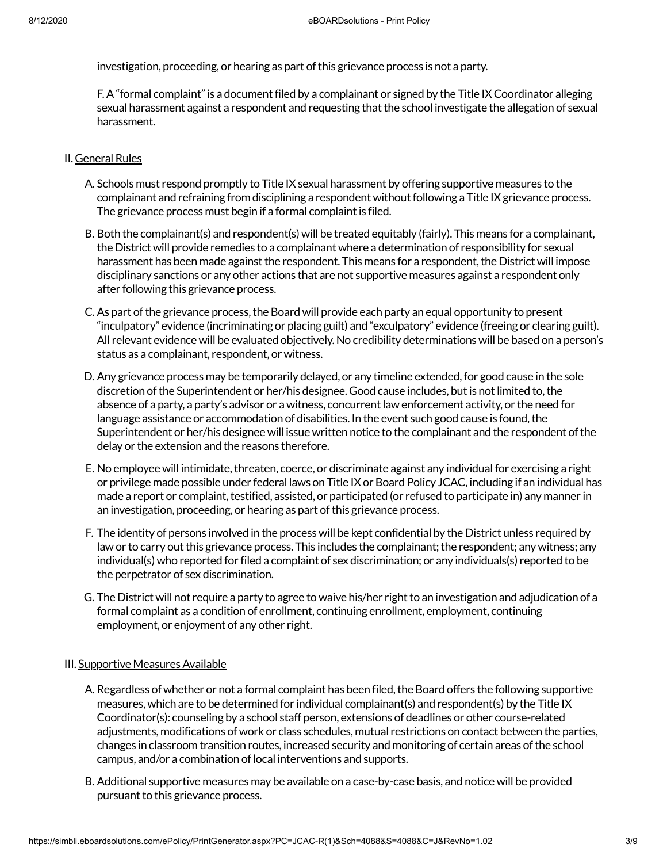investigation, proceeding, or hearing as part of this grievance process is not a party.

F. A "formal complaint" is a document filed by a complainant or signed by the Title IX Coordinator alleging sexual harassment against a respondent and requesting that the school investigate the allegation of sexual harassment.

#### II. General Rules

- A. Schools must respond promptly to Title IX sexual harassment by offering supportive measures to the complainant and refraining from disciplining a respondent without following a Title IX grievance process. The grievance process must begin if a formal complaint is filed.
- B. Both the complainant(s) and respondent(s) will be treated equitably (fairly). This means for a complainant, the District will provide remedies to a complainant where a determination of responsibility for sexual harassment has been made against the respondent. This means for a respondent, the District will impose disciplinary sanctions or any other actions that are not supportive measures against a respondent only after following this grievance process.
- C. As part of the grievance process, the Board will provide each party an equal opportunity to present "inculpatory" evidence (incriminating or placing guilt) and "exculpatory" evidence (freeing or clearing guilt). All relevant evidence will be evaluated objectively. No credibility determinations will be based on a person's status as a complainant, respondent, or witness.
- D. Any grievance process may be temporarily delayed, or any timeline extended, for good cause in the sole discretion ofthe Superintendent or her/his designee. Good cause includes, butis notlimited to,the absence of a party, a party's advisor or a witness, concurrent law enforcement activity, or the need for language assistance or accommodation of disabilities. In the event such good cause is found, the Superintendent or her/his designee will issue written notice to the complainant and the respondent of the delay or the extension and the reasons therefore.
- E. No employee will intimidate, threaten, coerce, or discriminate against any individual for exercising a right or privilege made possible under federal laws on Title IXorBoard Policy JCAC, including if an individual has made a report or complaint, testified, assisted, or participated (or refused to participate in) any manner in an investigation, proceeding, or hearing as part of this grievance process.
- F. The identity of persons involved in the process will be kept confidential by the District unless required by law or to carry out this grievance process. This includes the complainant; the respondent; any witness; any individual(s) who reported for filed a complaint of sex discrimination; or any individuals(s) reported to be the perpetrator of sex discrimination.
- G. The District will not require a party to agree to waive his/her right to an investigation and adjudication of a formal complaint as a condition of enrollment, continuing enrollment, employment, continuing employment, or enjoyment of any other right.

#### III. Supportive Measures Available

- A. Regardless of whether or not a formal complaint has been filed, the Board offers the following supportive measures, which are to be determined for individual complainant(s) and respondent(s) by the Title IX Coordinator(s): counseling by a school staff person, extensions of deadlines or other course-related adjustments, modifications of work or class schedules, mutual restrictions on contact between the parties, changes in classroom transition routes, increased security and monitoring of certain areas ofthe school campus, and/or a combination of local interventions and supports.
- B. Additional supportive measures may be available on a case-by-case basis, and notice will be provided pursuant to this grievance process.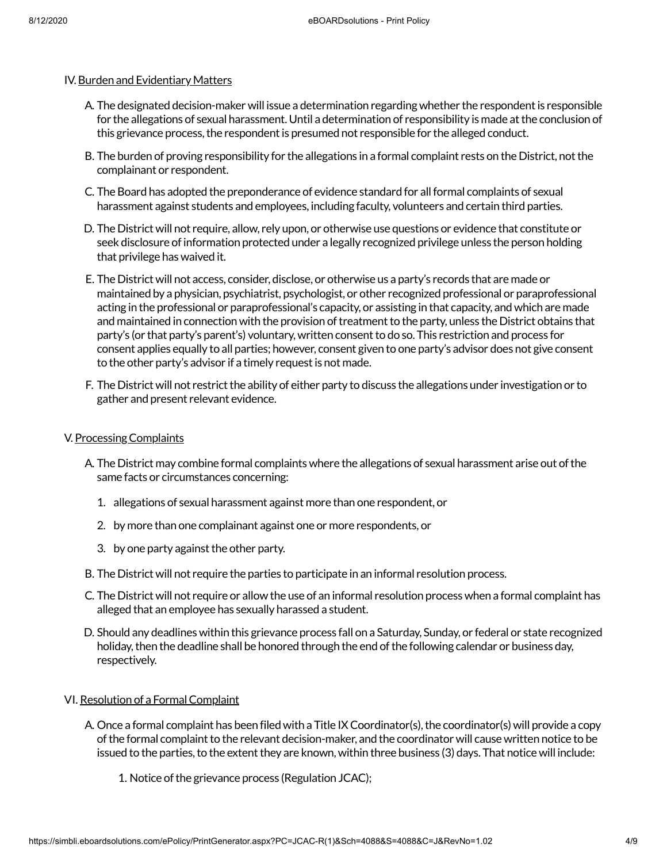## IV.Burden and Evidentiary Matters

- A. The designated decision-maker will issue a determination regarding whether the respondent is responsible for the allegations of sexual harassment. Until a determination of responsibility is made atthe conclusion of this grievance process, the respondent is presumed not responsible for the alleged conduct.
- B. The burden of proving responsibility for the allegations in a formal complaint rests on the District, not the complainant or respondent.
- C. The Board has adopted the preponderance of evidence standard for all formal complaints of sexual harassment against students and employees, including faculty, volunteers and certain third parties.
- D. The District will not require, allow, rely upon, or otherwise use questions or evidence that constitute or seek disclosure ofinformation protected under a legally recognized privilege unless the person holding that privilege has waived it.
- E. The District will not access, consider, disclose, or otherwise us a party's records that are made or maintained by a physician, psychiatrist, psychologist, or other recognized professional or paraprofessional acting in the professional or paraprofessional's capacity, or assisting in that capacity, and which are made and maintained in connection with the provision of treatment to the party, unless the District obtains that party's (or that party's parent's) voluntary, written consentto do so. This restriction and process for consent applies equally to all parties; however, consent given to one party's advisor does not give consent to the other party's advisor if a timely request is not made.
- F. The District will not restrict the ability of either party to discuss the allegations under investigation or to gather and present relevant evidence.

## V. Processing Complaints

- A. The District may combine formal complaints where the allegations of sexual harassment arise out of the same facts or circumstances concerning:
	- 1. allegations of sexual harassment against more than one respondent, or
	- 2. by more than one complainant against one or more respondents, or
	- 3. by one party against the other party.
- B. The District will not require the parties to participate in an informal resolution process.
- C. The District will not require or allow the use of an informal resolution process when a formal complaint has alleged that an employee has sexually harassed a student.
- D. Should any deadlines within this grievance process fall on a Saturday, Sunday, or federal or state recognized holiday, then the deadline shall be honored through the end of the following calendar or business day, respectively.

## VI. Resolution of a Formal Complaint

- A. Once a formal complaint has been filed with a Title IXCoordinator(s),the coordinator(s) will provide a copy ofthe formal complaintto the relevant decision-maker, and the coordinator will cause written notice to be issued to the parties, to the extent they are known, within three business (3) days. That notice will include:
	- 1. Notice of the grievance process (Regulation JCAC);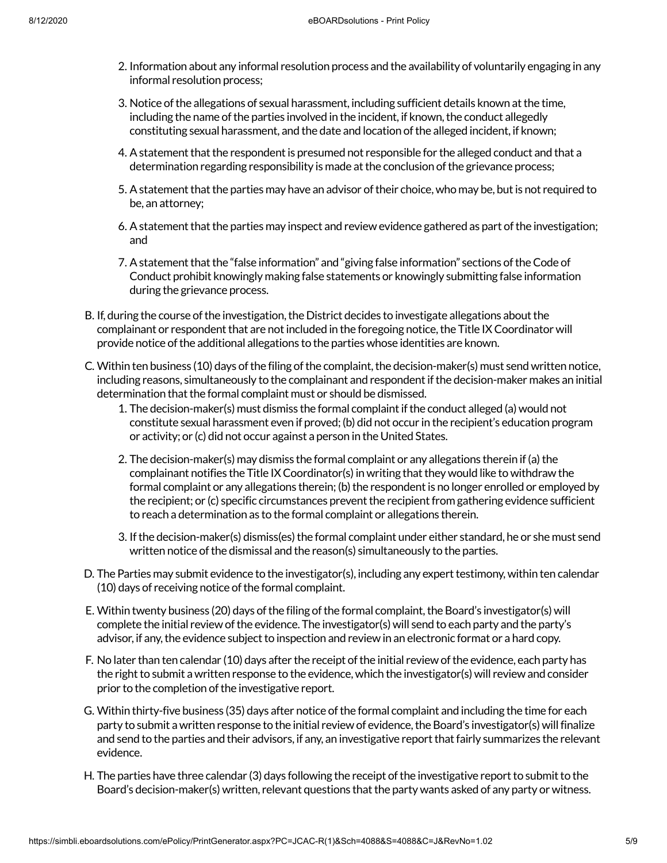- 2. Information about any informal resolution process and the availability of voluntarily engaging in any informal resolution process;
- 3. Notice ofthe allegations of sexual harassment, including sufficient details known atthe time, including the name of the parties involved in the incident, if known, the conduct allegedly constituting sexual harassment, and the date and location of the alleged incident, if known;
- 4. A statement that the respondent is presumed not responsible for the alleged conduct and that a determination regarding responsibility is made at the conclusion of the grievance process;
- 5. A statement that the parties may have an advisor of their choice, who may be, but is not required to be, an attorney;
- 6. A statement that the parties may inspect and review evidence gathered as part of the investigation; and
- 7. A statement that the "false information" and "giving false information" sections of the Code of Conduct prohibit knowingly making false statements or knowingly submitting false information during the grievance process.
- B. If, during the course of the investigation, the District decides to investigate allegations about the complainant or respondent that are not included in the foregoing notice, the Title IX Coordinator will provide notice of the additional allegations to the parties whose identities are known.
- C. Within ten business (10) days of the filing of the complaint, the decision-maker(s) must send written notice, including reasons, simultaneously to the complainant and respondent if the decision-maker makes an initial determination that the formal complaint must or should be dismissed.
	- 1. The decision-maker(s) must dismiss the formal complaintifthe conduct alleged (a) would not constitute sexual harassment even if proved; (b) did not occur in the recipient's education program or activity; or (c) did not occur against a person in the United States.
	- 2. The decision-maker(s) may dismiss the formal complaint or any allegations therein if (a) the complainant notifies the Title IX Coordinator(s) in writing that they would like to withdraw the formal complaint or any allegations therein; (b) the respondent is no longer enrolled or employed by the recipient; or (c) specific circumstances prevent the recipient from gathering evidence sufficient to reach a determination as to the formal complaint or allegations therein.
	- 3. If the decision-maker(s) dismiss(es) the formal complaint under either standard, he or she must send written notice of the dismissal and the reason(s) simultaneously to the parties.
- D. The Parties may submit evidence to the investigator(s), including any expert testimony, within ten calendar (10) days of receiving notice of the formal complaint.
- E. Within twenty business (20) days of the filing of the formal complaint, the Board's investigator(s) will complete the initial review of the evidence. The investigator(s) will send to each party and the party's advisor, if any, the evidence subject to inspection and review in an electronic format or a hard copy.
- F. No later than ten calendar (10) days after the receipt of the initial review of the evidence, each party has the right to submit a written response to the evidence, which the investigator(s) will review and consider prior to the completion of the investigative report.
- G. Within thirty-five business (35) days after notice ofthe formal complaint and including the time for each party to submit a written response to the initial review of evidence, the Board's investigator(s) will finalize and send to the parties and their advisors, if any, an investigative reportthatfairly summarizes the relevant evidence.
- H. The parties have three calendar (3) days following the receipt of the investigative report to submit to the Board's decision-maker(s) written, relevant questions that the party wants asked of any party or witness.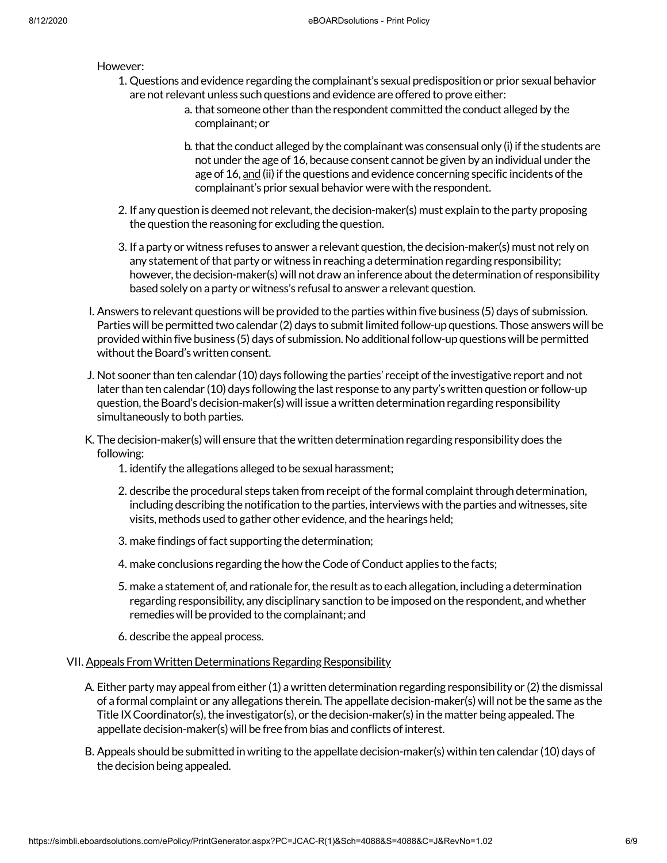#### However:

- 1. Questions and evidence regarding the complainant's sexual predisposition or prior sexual behavior are not relevant unless such questions and evidence are offered to prove either:
	- a. that someone other than the respondent committed the conduct alleged by the complainant; or
	- b. that the conduct alleged by the complainant was consensual only (i) if the students are not under the age of 16, because consent cannot be given by an individual under the age of 16, and (ii) if the questions and evidence concerning specific incidents of the complainant's prior sexual behavior were with the respondent.
- 2. If any question is deemed not relevant, the decision-maker(s) must explain to the party proposing the question the reasoning for excluding the question.
- 3. If a party or witness refuses to answer a relevant question, the decision-maker(s) must not rely on any statement of that party or witness in reaching a determination regarding responsibility; however, the decision-maker(s) will not draw an inference about the determination of responsibility based solely on a party or witness's refusal to answer a relevant question.
- I. Answers to relevant questions will be provided to the parties within five business (5) days of submission. Parties will be permitted two calendar (2) days to submit limited follow-up questions. Those answers will be provided within five business (5) days of submission. No additionalfollow-up questions will be permitted without the Board's written consent.
- J. Not sooner than ten calendar (10) days following the parties' receipt ofthe investigative report and not later than ten calendar (10) days following the last response to any party's written question or follow-up question, the Board's decision-maker(s) will issue a written determination regarding responsibility simultaneously to both parties.
- K. The decision-maker(s) will ensure that the written determination regarding responsibility does the following:
	- 1. identify the allegations alleged to be sexual harassment;
	- 2. describe the procedural steps taken from receipt of the formal complaint through determination, including describing the notification to the parties, interviews with the parties and witnesses, site visits, methods used to gather other evidence, and the hearings held;
	- 3. make findings of fact supporting the determination;
	- 4. make conclusions regarding the how the Code of Conduct applies to the facts;
	- 5. make a statement of, and rationale for, the result as to each allegation, including a determination regarding responsibility, any disciplinary sanction to be imposed on the respondent, and whether remedies will be provided to the complainant; and
	- 6. describe the appeal process.

## VII. Appeals From Written Determinations Regarding Responsibility

- A. Either party may appeal from either (1) a written determination regarding responsibility or (2) the dismissal of a formal complaint or any allegations therein. The appellate decision-maker(s) will not be the same as the Title IX Coordinator(s), the investigator(s), or the decision-maker(s) in the matter being appealed. The appellate decision-maker(s) will be free from bias and conflicts of interest.
- B. Appeals should be submitted in writing to the appellate decision-maker(s) within ten calendar (10) days of the decision being appealed.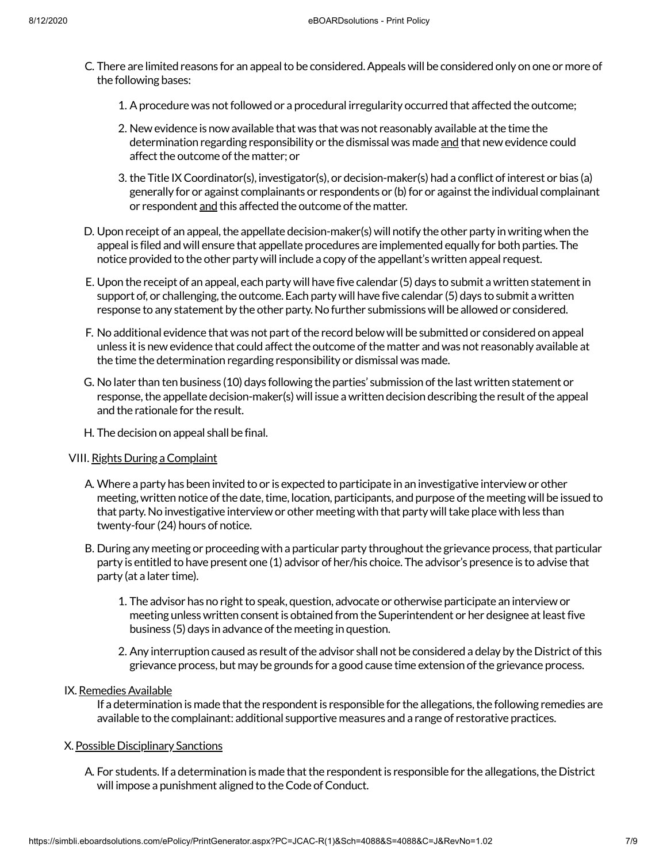- C. There are limited reasons for an appeal to be considered. Appeals will be considered only on one or more of the following bases:
	- 1. Aprocedure was notfollowed or a procedural irregularity occurred that affected the outcome;
	- 2. New evidence is now available that was that was not reasonably available atthe time the determination regarding responsibility or the dismissal was made and that new evidence could affect the outcome of the matter; or
	- 3. the Title IX Coordinator(s), investigator(s), or decision-maker(s) had a conflict of interest or bias (a) generally for or against complainants or respondents or (b) for or against the individual complainant or respondent and this affected the outcome of the matter.
- D. Upon receipt of an appeal, the appellate decision-maker(s) will notify the other party in writing when the appeal is filed and will ensure that appellate procedures are implemented equally for both parties. The notice provided to the other party will include a copy ofthe appellant's written appeal request.
- E. Upon the receipt of an appeal, each party will have five calendar (5) days to submit a written statementin support of, or challenging, the outcome. Each party will have five calendar (5) days to submit a written response to any statement by the other party. No further submissions will be allowed or considered.
- F. No additional evidence that was not part of the record below will be submitted or considered on appeal unless it is new evidence that could affect the outcome of the matter and was not reasonably available at the time the determination regarding responsibility or dismissal was made.
- G. No later than ten business (10) days following the parties' submission ofthe last written statement or response, the appellate decision-maker(s) will issue a written decision describing the result of the appeal and the rationale for the result.
- H. The decision on appeal shall be final.

## VIII. Rights During aComplaint

- A. Where a party has been invited to or is expected to participate in an investigative interview or other meeting, written notice of the date, time, location, participants, and purpose of the meeting will be issued to that party. No investigative interview or other meeting with that party will take place with less than twenty-four (24) hours of notice.
- B. During any meeting or proceeding with a particular party throughout the grievance process, that particular party is entitled to have present one (1) advisor of her/his choice. The advisor's presence is to advise that party (at a later time).
	- 1. The advisor has no right to speak, question, advocate or otherwise participate an interview or meeting unless written consent is obtained from the Superintendent or her designee at least five business (5) days in advance of the meeting in question.
	- 2. Any interruption caused as result of the advisor shall not be considered a delay by the District of this grievance process, but may be grounds for a good cause time extension ofthe grievance process.

## IX. Remedies Available

If a determination is made that the respondent is responsible for the allegations, the following remedies are available to the complainant: additional supportive measures and a range of restorative practices.

# X. Possible Disciplinary Sanctions

A. For students. If a determination is made that the respondent is responsible for the allegations, the District will impose a punishment aligned to the Code of Conduct.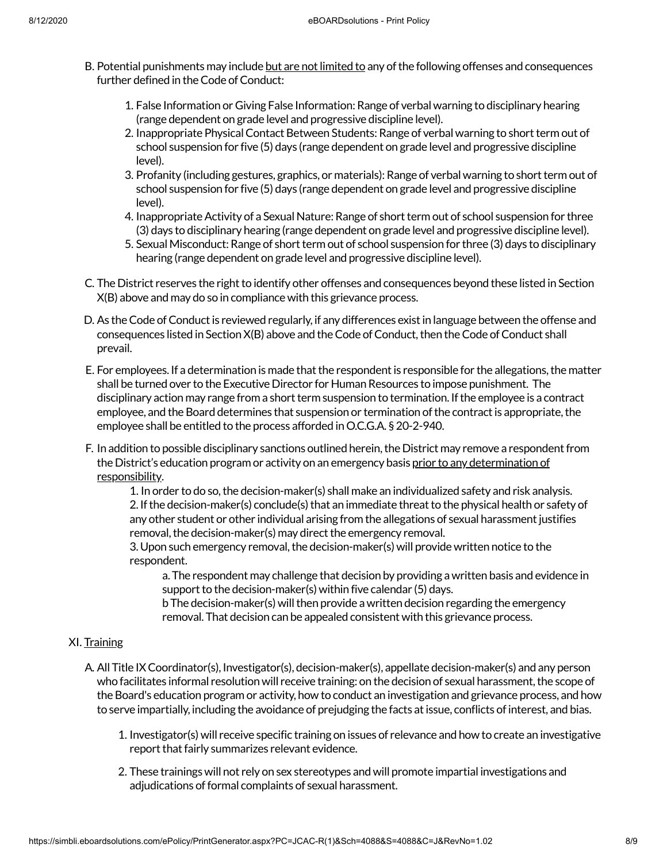- B. Potential punishments may include but are not limited to any of the following offenses and consequences further defined in the Code of Conduct:
	- 1. False Information or Giving False Information:Range of verbal warning to disciplinary hearing (range dependent on grade level and progressive discipline level).
	- 2. Inappropriate Physical Contact Between Students: Range of verbal warning to short term out of school suspension for five (5) days (range dependent on grade level and progressive discipline level).
	- 3. Profanity (including gestures, graphics, or materials): Range of verbal warning to short term out of school suspension for five (5) days (range dependent on grade level and progressive discipline level).
	- 4. Inappropriate Activity of a Sexual Nature: Range of short term out of school suspension for three (3) days to disciplinary hearing (range dependent on grade level and progressive discipline level).
	- 5. Sexual Misconduct: Range of short term out of school suspension for three (3) days to disciplinary hearing (range dependent on grade level and progressive discipline level).
- C. The District reserves the right to identify other offenses and consequences beyond these listed in Section X(B) above and may do so in compliance with this grievance process.
- D. As the Code of Conduct is reviewed regularly, if any differences exist in language between the offense and consequences listed in Section X(B) above and the Code of Conduct, then the Code of Conduct shall prevail.
- E. For employees. If a determination is made that the respondent is responsible for the allegations, the matter shall be turned over to the Executive Director for Human Resources to impose punishment. The disciplinary action may range from a short term suspension to termination. If the employee is a contract employee, and the Board determines that suspension or termination of the contract is appropriate, the employee shall be entitled to the process afforded inO.C.G.A. § 20-2-940.
- F. In addition to possible disciplinary sanctions outlined herein, the District may remove a respondent from the District's education program or activity on an emergency basis prior to any determination of responsibility.

1. In order to do so, the decision-maker(s) shall make an individualized safety and risk analysis. 2. If the decision-maker(s) conclude(s) that an immediate threat to the physical health or safety of any other student or other individual arising from the allegations of sexual harassment justifies removal, the decision-maker(s) may direct the emergency removal.

3. Upon such emergency removal, the decision-maker(s) will provide written notice to the respondent.

a. The respondent may challenge that decision by providing a written basis and evidence in support to the decision-maker(s) within five calendar (5) days.

b The decision-maker(s) will then provide a written decision regarding the emergency removal. That decision can be appealed consistent with this grievance process.

# XI. Training

- A. All Title IXCoordinator(s), Investigator(s), decision-maker(s), appellate decision-maker(s) and any person who facilitates informal resolution will receive training: on the decision of sexual harassment, the scope of the Board's education program or activity, how to conduct an investigation and grievance process, and how to serve impartially, including the avoidance of prejudging the facts at issue, conflicts of interest, and bias.
	- 1. Investigator(s) will receive specific training on issues of relevance and how to create an investigative report that fairly summarizes relevant evidence.
	- 2. These trainings will not rely on sex stereotypes and will promote impartial investigations and adjudications of formal complaints of sexual harassment.